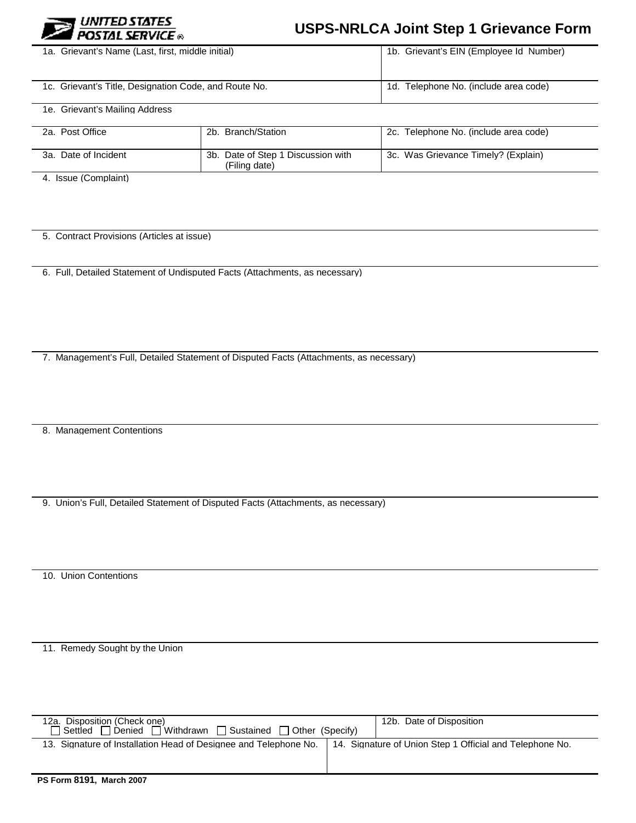

## **USPS-NRLCA Joint Step 1 Grievance Form**

| 1a. Grievant's Name (Last, first, middle initial)     |                                                     | 1b. Grievant's EIN (Employee Id Number) |  |
|-------------------------------------------------------|-----------------------------------------------------|-----------------------------------------|--|
| 1c. Grievant's Title, Designation Code, and Route No. |                                                     | 1d. Telephone No. (include area code)   |  |
| 1e. Grievant's Mailing Address                        |                                                     |                                         |  |
| 2a. Post Office                                       | 2b. Branch/Station                                  | 2c. Telephone No. (include area code)   |  |
| 3a. Date of Incident                                  | 3b. Date of Step 1 Discussion with<br>(Filing date) | 3c. Was Grievance Timely? (Explain)     |  |

4. Issue (Complaint)

5. Contract Provisions (Articles at issue)

6. Full, Detailed Statement of Undisputed Facts (Attachments, as necessary)

7. Management's Full, Detailed Statement of Disputed Facts (Attachments, as necessary)

8. Management Contentions

9. Union's Full, Detailed Statement of Disputed Facts (Attachments, as necessary)

10. Union Contentions

11. Remedy Sought by the Union

| 13. Signature of Installation Head of Designee and Telephone No.<br>14. Signature of Union Step 1 Official and Telephone No.              |  |
|-------------------------------------------------------------------------------------------------------------------------------------------|--|
| 12b. Date of Disposition<br>12a. Disposition (Check one)<br>$\Box$ Withdrawn $\Box$ Sustained $\Box$ Other (Specify)<br>Settled<br>Denied |  |